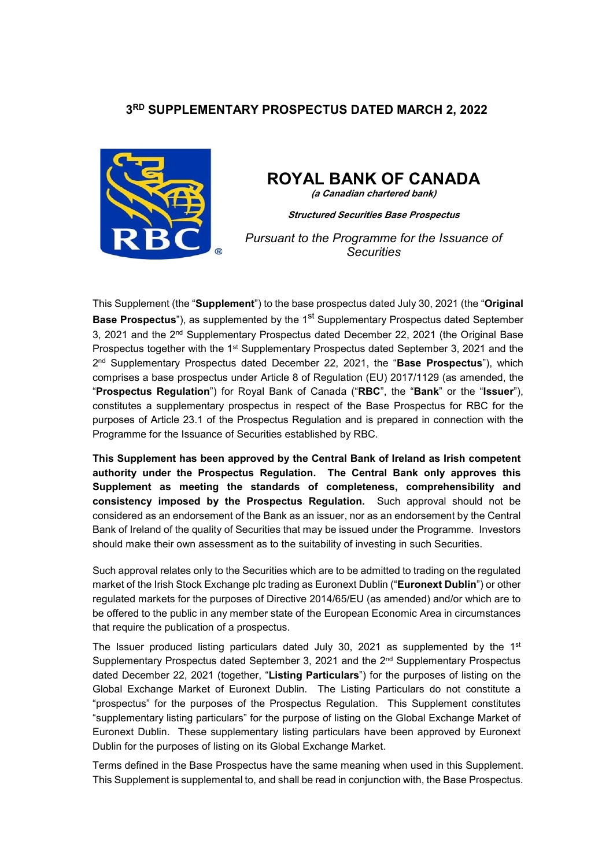## **3RD SUPPLEMENTARY PROSPECTUS DATED MARCH 2, 2022**



# **ROYAL BANK OF CANADA**

**(a Canadian chartered bank)**

**Structured Securities Base Prospectus**

*Pursuant to the Programme for the Issuance of Securities* 

This Supplement (the "**Supplement**") to the base prospectus dated July 30, 2021 (the "**Original Base Prospectus**"), as supplemented by the 1<sup>st</sup> Supplementary Prospectus dated September 3, 2021 and the 2nd Supplementary Prospectus dated December 22, 2021 (the Original Base Prospectus together with the 1<sup>st</sup> Supplementary Prospectus dated September 3, 2021 and the 2nd Supplementary Prospectus dated December 22, 2021, the "**Base Prospectus**"), which comprises a base prospectus under Article 8 of Regulation (EU) 2017/1129 (as amended, the "**Prospectus Regulation**") for Royal Bank of Canada ("**RBC**", the "**Bank**" or the "**Issuer**"), constitutes a supplementary prospectus in respect of the Base Prospectus for RBC for the purposes of Article 23.1 of the Prospectus Regulation and is prepared in connection with the Programme for the Issuance of Securities established by RBC.

**This Supplement has been approved by the Central Bank of Ireland as Irish competent authority under the Prospectus Regulation. The Central Bank only approves this Supplement as meeting the standards of completeness, comprehensibility and consistency imposed by the Prospectus Regulation.** Such approval should not be considered as an endorsement of the Bank as an issuer, nor as an endorsement by the Central Bank of Ireland of the quality of Securities that may be issued under the Programme. Investors should make their own assessment as to the suitability of investing in such Securities.

Such approval relates only to the Securities which are to be admitted to trading on the regulated market of the Irish Stock Exchange plc trading as Euronext Dublin ("**Euronext Dublin**") or other regulated markets for the purposes of Directive 2014/65/EU (as amended) and/or which are to be offered to the public in any member state of the European Economic Area in circumstances that require the publication of a prospectus.

The Issuer produced listing particulars dated July 30, 2021 as supplemented by the  $1<sup>st</sup>$ Supplementary Prospectus dated September 3, 2021 and the  $2<sup>nd</sup>$  Supplementary Prospectus dated December 22, 2021 (together, "**Listing Particulars**") for the purposes of listing on the Global Exchange Market of Euronext Dublin. The Listing Particulars do not constitute a "prospectus" for the purposes of the Prospectus Regulation. This Supplement constitutes "supplementary listing particulars" for the purpose of listing on the Global Exchange Market of Euronext Dublin. These supplementary listing particulars have been approved by Euronext Dublin for the purposes of listing on its Global Exchange Market.

Terms defined in the Base Prospectus have the same meaning when used in this Supplement. This Supplement is supplemental to, and shall be read in conjunction with, the Base Prospectus.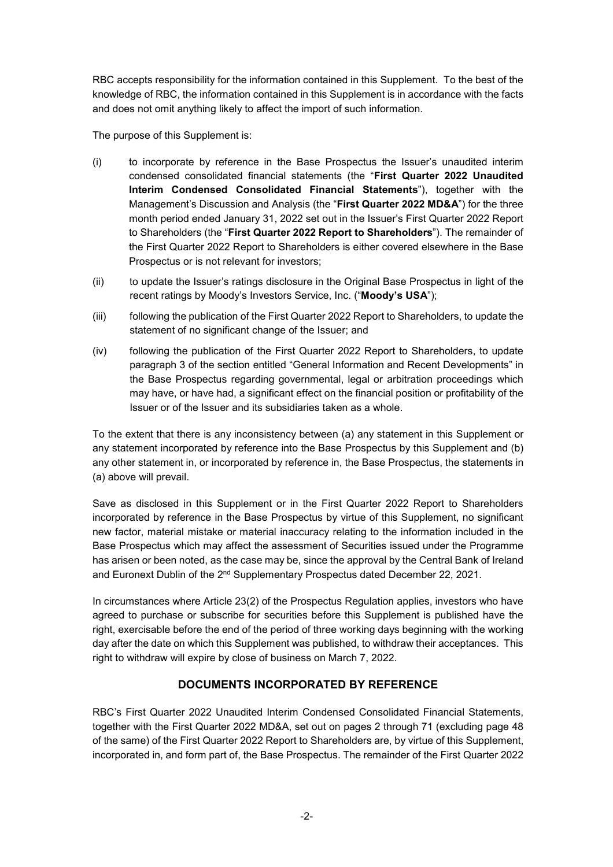RBC accepts responsibility for the information contained in this Supplement. To the best of the knowledge of RBC, the information contained in this Supplement is in accordance with the facts and does not omit anything likely to affect the import of such information.

The purpose of this Supplement is:

- (i) to incorporate by reference in the Base Prospectus the Issuer's unaudited interim condensed consolidated financial statements (the "**First Quarter 2022 Unaudited Interim Condensed Consolidated Financial Statements**"), together with the Management's Discussion and Analysis (the "**First Quarter 2022 MD&A**") for the three month period ended January 31, 2022 set out in the Issuer's First Quarter 2022 Report to Shareholders (the "**First Quarter 2022 Report to Shareholders**"). The remainder of the First Quarter 2022 Report to Shareholders is either covered elsewhere in the Base Prospectus or is not relevant for investors;
- (ii) to update the Issuer's ratings disclosure in the Original Base Prospectus in light of the recent ratings by Moody's Investors Service, Inc. ("**Moody's USA**");
- (iii) following the publication of the First Quarter 2022 Report to Shareholders, to update the statement of no significant change of the Issuer; and
- (iv) following the publication of the First Quarter 2022 Report to Shareholders, to update paragraph 3 of the section entitled "General Information and Recent Developments" in the Base Prospectus regarding governmental, legal or arbitration proceedings which may have, or have had, a significant effect on the financial position or profitability of the Issuer or of the Issuer and its subsidiaries taken as a whole.

To the extent that there is any inconsistency between (a) any statement in this Supplement or any statement incorporated by reference into the Base Prospectus by this Supplement and (b) any other statement in, or incorporated by reference in, the Base Prospectus, the statements in (a) above will prevail.

Save as disclosed in this Supplement or in the First Quarter 2022 Report to Shareholders incorporated by reference in the Base Prospectus by virtue of this Supplement, no significant new factor, material mistake or material inaccuracy relating to the information included in the Base Prospectus which may affect the assessment of Securities issued under the Programme has arisen or been noted, as the case may be, since the approval by the Central Bank of Ireland and Euronext Dublin of the 2<sup>nd</sup> Supplementary Prospectus dated December 22, 2021.

In circumstances where Article 23(2) of the Prospectus Regulation applies, investors who have agreed to purchase or subscribe for securities before this Supplement is published have the right, exercisable before the end of the period of three working days beginning with the working day after the date on which this Supplement was published, to withdraw their acceptances. This right to withdraw will expire by close of business on March 7, 2022.

### **DOCUMENTS INCORPORATED BY REFERENCE**

RBC's First Quarter 2022 Unaudited Interim Condensed Consolidated Financial Statements, together with the First Quarter 2022 MD&A, set out on pages 2 through 71 (excluding page 48 of the same) of the First Quarter 2022 Report to Shareholders are, by virtue of this Supplement, incorporated in, and form part of, the Base Prospectus. The remainder of the First Quarter 2022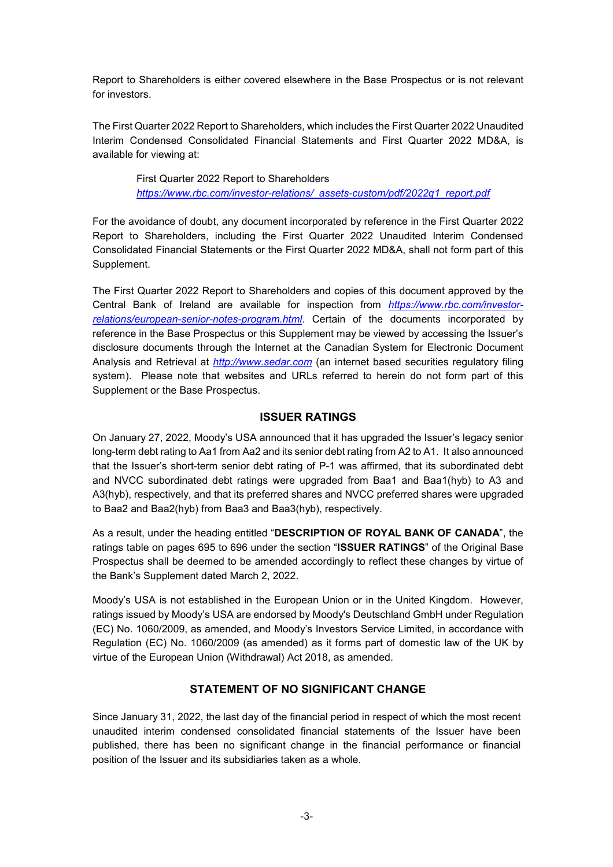Report to Shareholders is either covered elsewhere in the Base Prospectus or is not relevant for investors.

The First Quarter 2022 Report to Shareholders, which includes the First Quarter 2022 Unaudited Interim Condensed Consolidated Financial Statements and First Quarter 2022 MD&A, is available for viewing at:

> First Quarter 2022 Report to Shareholders *https://www.rbc.com/investor-relations/\_assets-custom/pdf/2022q1\_report.pdf*

For the avoidance of doubt, any document incorporated by reference in the First Quarter 2022 Report to Shareholders, including the First Quarter 2022 Unaudited Interim Condensed Consolidated Financial Statements or the First Quarter 2022 MD&A, shall not form part of this Supplement.

The First Quarter 2022 Report to Shareholders and copies of this document approved by the Central Bank of Ireland are available for inspection from *https://www.rbc.com/investorrelations/european-senior-notes-program.html*. Certain of the documents incorporated by reference in the Base Prospectus or this Supplement may be viewed by accessing the Issuer's disclosure documents through the Internet at the Canadian System for Electronic Document Analysis and Retrieval at *http://www.sedar.com* (an internet based securities regulatory filing system). Please note that websites and URLs referred to herein do not form part of this Supplement or the Base Prospectus.

#### **ISSUER RATINGS**

On January 27, 2022, Moody's USA announced that it has upgraded the Issuer's legacy senior long-term debt rating to Aa1 from Aa2 and its senior debt rating from A2 to A1. It also announced that the Issuer's short-term senior debt rating of P-1 was affirmed, that its subordinated debt and NVCC subordinated debt ratings were upgraded from Baa1 and Baa1(hyb) to A3 and A3(hyb), respectively, and that its preferred shares and NVCC preferred shares were upgraded to Baa2 and Baa2(hyb) from Baa3 and Baa3(hyb), respectively.

As a result, under the heading entitled "**DESCRIPTION OF ROYAL BANK OF CANADA**", the ratings table on pages 695 to 696 under the section "**ISSUER RATINGS**" of the Original Base Prospectus shall be deemed to be amended accordingly to reflect these changes by virtue of the Bank's Supplement dated March 2, 2022.

Moody's USA is not established in the European Union or in the United Kingdom. However, ratings issued by Moody's USA are endorsed by Moody's Deutschland GmbH under Regulation (EC) No. 1060/2009, as amended, and Moody's Investors Service Limited, in accordance with Regulation (EC) No. 1060/2009 (as amended) as it forms part of domestic law of the UK by virtue of the European Union (Withdrawal) Act 2018, as amended.

#### **STATEMENT OF NO SIGNIFICANT CHANGE**

Since January 31, 2022, the last day of the financial period in respect of which the most recent unaudited interim condensed consolidated financial statements of the Issuer have been published, there has been no significant change in the financial performance or financial position of the Issuer and its subsidiaries taken as a whole.